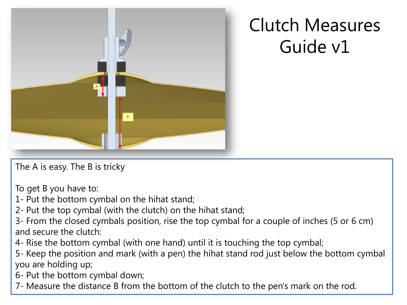

## Clutch Measures Guide v1

The A is easy. The B is tricky

To get B you have to:

1- Put the bottom cymbal on the hihat stand;

2- Put the top cymbal (with the clutch) on the hihat stand;

3- From the closed cymbals position, rise the top cymbal for a couple of inches (5 or 6 cm) and secure the clutch:

4- Rise the bottom cymbal (with one hand) until it is touching the top cymbal;

5- Keep the position and mark (with a pen) the hihat stand rod just below the bottom cymbal you are holding up;

6- Put the bottom cymbal down;

7- Measure the distance B from the bottom of the clutch to the pen's mark on the rod.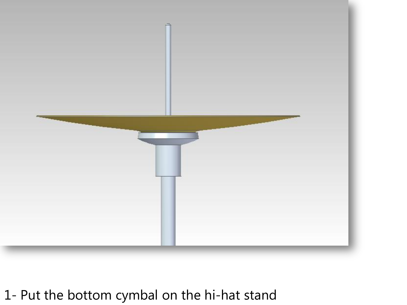

## 1- Put the bottom cymbal on the hi-hat stand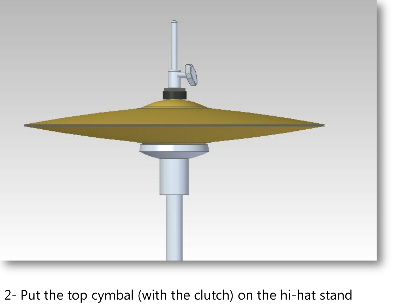

## 2- Put the top cymbal (with the clutch) on the hi-hat stand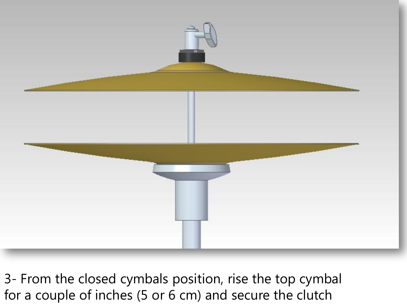

3- From the closed cymbals position, rise the top cymbal for a couple of inches (5 or 6 cm) and secure the clutch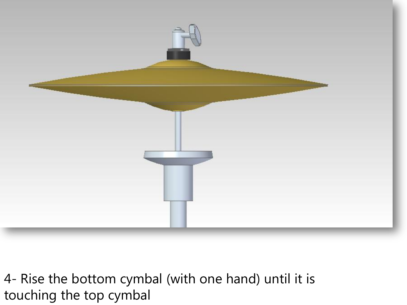

4- Rise the bottom cymbal (with one hand) until it is touching the top cymbal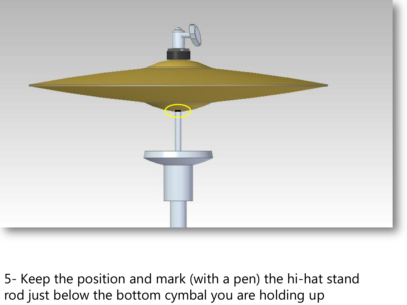

5- Keep the position and mark (with a pen) the hi-hat stand rod just below the bottom cymbal you are holding up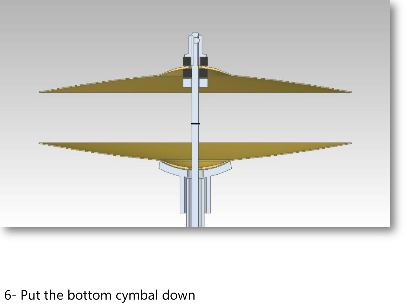

## 6- Put the bottom cymbal down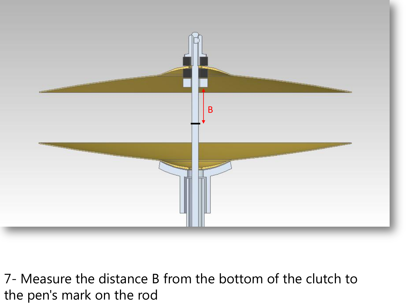

7- Measure the distance B from the bottom of the clutch to the pen's mark on the rod